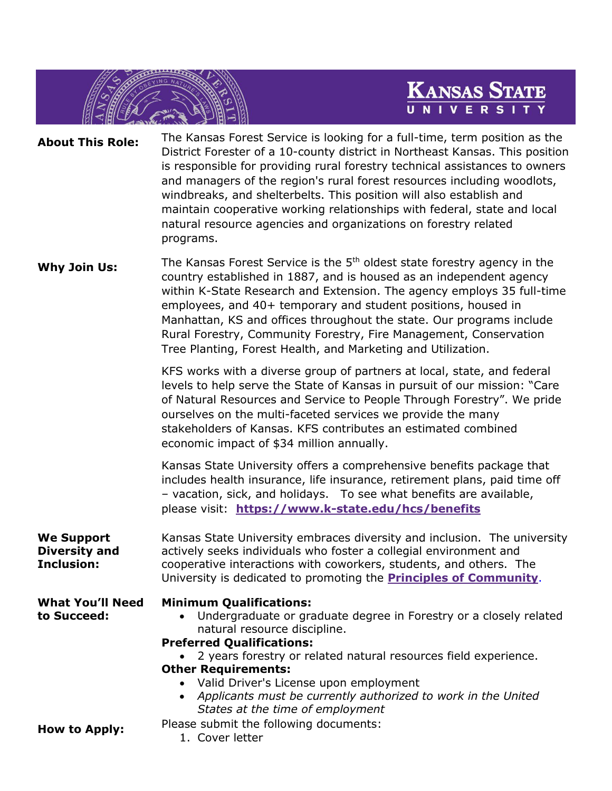

**About This Role:** The Kansas Forest Service is looking for a full-time, term position as the District Forester of a 10-county district in Northeast Kansas. This position is responsible for providing rural forestry technical assistances to owners and managers of the region's rural forest resources including woodlots, windbreaks, and shelterbelts. This position will also establish and maintain cooperative working relationships with federal, state and local natural resource agencies and organizations on forestry related programs.

Why Join Us: The Kansas Forest Service is the 5<sup>th</sup> oldest state forestry agency in the country established in 1887, and is housed as an independent agency within K-State Research and Extension. The agency employs 35 full-time employees, and 40+ temporary and student positions, housed in Manhattan, KS and offices throughout the state. Our programs include Rural Forestry, Community Forestry, Fire Management, Conservation Tree Planting, Forest Health, and Marketing and Utilization.

> KFS works with a diverse group of partners at local, state, and federal levels to help serve the State of Kansas in pursuit of our mission: "Care of Natural Resources and Service to People Through Forestry". We pride ourselves on the multi-faceted services we provide the many stakeholders of Kansas. KFS contributes an estimated combined economic impact of \$34 million annually.

> Kansas State University offers a comprehensive benefits package that includes health insurance, life insurance, retirement plans, paid time off – vacation, sick, and holidays. To see what benefits are available, please visit: **[https://www.k-state.edu/hcs/benefits](https://www.k-state.edu/hcs/benefits/overview/)**

**We Support Diversity and Inclusion:** Kansas State University embraces diversity and inclusion. The university actively seeks individuals who foster a collegial environment and cooperative interactions with coworkers, students, and others. The University is dedicated to promoting the **[Principles of Community](https://www.k-state.edu/about/community.html)**.

**What You'll Need to Succeed:**

## **Minimum Qualifications:**

• Undergraduate or graduate degree in Forestry or a closely related natural resource discipline.

**Preferred Qualifications:** • 2 years forestry or related natural resources field experience. **Other Requirements:**

- Valid Driver's License upon employment
- *Applicants must be currently authorized to work in the United States at the time of employment*

**How to Apply:** Please submit the following documents:

1. Cover letter